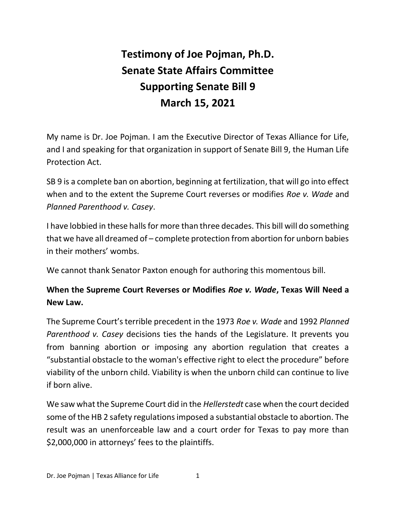# **Testimony of Joe Pojman, Ph.D. Senate State Affairs Committee Supporting Senate Bill 9 March 15, 2021**

My name is Dr. Joe Pojman. I am the Executive Director of Texas Alliance for Life, and I and speaking for that organization in support of Senate Bill 9, the Human Life Protection Act.

SB 9 is a complete ban on abortion, beginning at fertilization, that will go into effect when and to the extent the Supreme Court reverses or modifies *Roe v. Wade* and *Planned Parenthood v. Casey*.

I have lobbied in these halls for more than three decades. This bill will do something that we have all dreamed of – complete protection from abortion for unborn babies in their mothers' wombs.

We cannot thank Senator Paxton enough for authoring this momentous bill.

## **When the Supreme Court Reverses or Modifies** *Roe v. Wade***, Texas Will Need a New Law.**

The Supreme Court's terrible precedent in the 1973 *Roe v. Wade* and 1992 *Planned Parenthood v. Casey* decisions ties the hands of the Legislature. It prevents you from banning abortion or imposing any abortion regulation that creates a "substantial obstacle to the woman's effective right to elect the procedure" before viability of the unborn child. Viability is when the unborn child can continue to live if born alive.

We saw what the Supreme Court did in the *Hellerstedt* case when the court decided some of the HB 2 safety regulations imposed a substantial obstacle to abortion. The result was an unenforceable law and a court order for Texas to pay more than \$2,000,000 in attorneys' fees to the plaintiffs.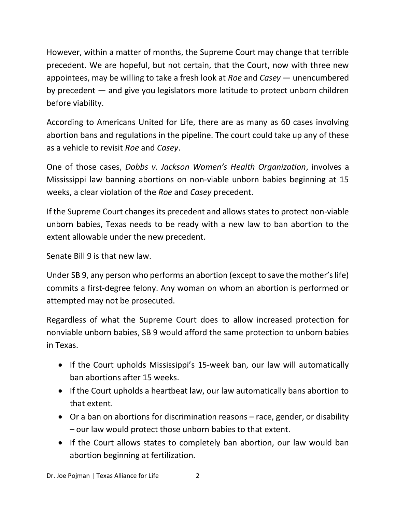However, within a matter of months, the Supreme Court may change that terrible precedent. We are hopeful, but not certain, that the Court, now with three new appointees, may be willing to take a fresh look at *Roe* and *Casey* — unencumbered by precedent — and give you legislators more latitude to protect unborn children before viability.

According to Americans United for Life, there are as many as 60 cases involving abortion bans and regulations in the pipeline. The court could take up any of these as a vehicle to revisit *Roe* and *Casey*.

One of those cases, *Dobbs v. Jackson Women's Health Organization*, involves a Mississippi law banning abortions on non-viable unborn babies beginning at 15 weeks, a clear violation of the *Roe* and *Casey* precedent.

If the Supreme Court changes its precedent and allows states to protect non-viable unborn babies, Texas needs to be ready with a new law to ban abortion to the extent allowable under the new precedent.

Senate Bill 9 is that new law.

Under SB 9, any person who performs an abortion (except to save the mother's life) commits a first-degree felony. Any woman on whom an abortion is performed or attempted may not be prosecuted.

Regardless of what the Supreme Court does to allow increased protection for nonviable unborn babies, SB 9 would afford the same protection to unborn babies in Texas.

- If the Court upholds Mississippi's 15-week ban, our law will automatically ban abortions after 15 weeks.
- If the Court upholds a heartbeat law, our law automatically bans abortion to that extent.
- Or a ban on abortions for discrimination reasons race, gender, or disability – our law would protect those unborn babies to that extent.
- If the Court allows states to completely ban abortion, our law would ban abortion beginning at fertilization.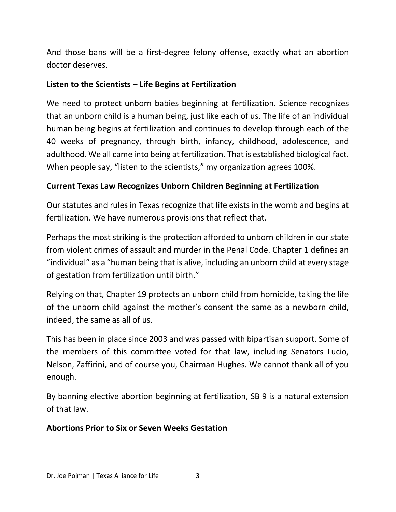And those bans will be a first-degree felony offense, exactly what an abortion doctor deserves.

#### **Listen to the Scientists – Life Begins at Fertilization**

We need to protect unborn babies beginning at fertilization. Science recognizes that an unborn child is a human being, just like each of us. The life of an individual human being begins at fertilization and continues to develop through each of the 40 weeks of pregnancy, through birth, infancy, childhood, adolescence, and adulthood. We all came into being at fertilization. That is established biological fact. When people say, "listen to the scientists," my organization agrees 100%.

### **Current Texas Law Recognizes Unborn Children Beginning at Fertilization**

Our statutes and rules in Texas recognize that life exists in the womb and begins at fertilization. We have numerous provisions that reflect that.

Perhaps the most striking is the protection afforded to unborn children in our state from violent crimes of assault and murder in the Penal Code. Chapter 1 defines an "individual" as a "human being that is alive, including an unborn child at every stage of gestation from fertilization until birth."

Relying on that, Chapter 19 protects an unborn child from homicide, taking the life of the unborn child against the mother's consent the same as a newborn child, indeed, the same as all of us.

This has been in place since 2003 and was passed with bipartisan support. Some of the members of this committee voted for that law, including Senators Lucio, Nelson, Zaffirini, and of course you, Chairman Hughes. We cannot thank all of you enough.

By banning elective abortion beginning at fertilization, SB 9 is a natural extension of that law.

#### **Abortions Prior to Six or Seven Weeks Gestation**